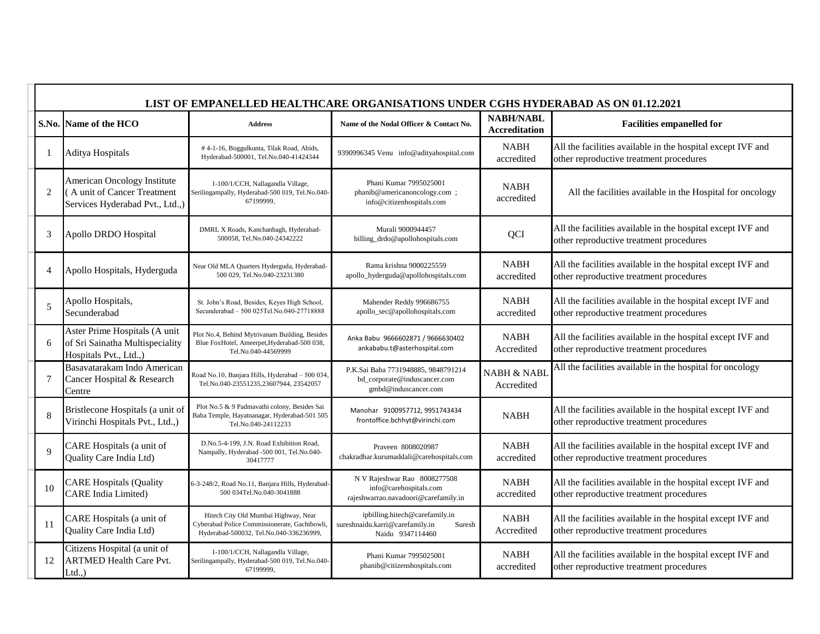|             | LIST OF EMPANELLED HEALTHCARE ORGANISATIONS UNDER CGHS HYDERABAD AS ON 01.12.2021             |                                                                                                                                 |                                                                                                 |                                          |                                                                                                        |  |  |
|-------------|-----------------------------------------------------------------------------------------------|---------------------------------------------------------------------------------------------------------------------------------|-------------------------------------------------------------------------------------------------|------------------------------------------|--------------------------------------------------------------------------------------------------------|--|--|
|             | S.No. Name of the HCO                                                                         | <b>Address</b>                                                                                                                  | Name of the Nodal Officer & Contact No.                                                         | <b>NABH/NABL</b><br><b>Accreditation</b> | <b>Facilities empanelled for</b>                                                                       |  |  |
|             | <b>Aditya Hospitals</b>                                                                       | #4-1-16, Boggulkunta, Tilak Road, Abids,<br>Hyderabad-500001, Tel.No.040-41424344                                               | 9390996345 Venu info@adityahospital.com                                                         | <b>NABH</b><br>accredited                | All the facilities available in the hospital except IVF and<br>other reproductive treatment procedures |  |  |
| 2           | American Oncology Institute<br>(A unit of Cancer Treatment<br>Services Hyderabad Pvt., Ltd.,) | 1-100/1/CCH, Nallagandla Village,<br>Serilingampally, Hyderabad-500 019, Tel.No.040-<br>67199999,                               | Phani Kumar 7995025001<br>phanib@americanoncology.com ;<br>info@citizenhospitals.com            | <b>NABH</b><br>accredited                | All the facilities available in the Hospital for oncology                                              |  |  |
| 3           | Apollo DRDO Hospital                                                                          | DMRL X Roads, Kanchanbagh, Hyderabad-<br>500058, Tel.No.040-24342222                                                            | Murali 9000944457<br>billing_drdo@apollohospitals.com                                           | QCI                                      | All the facilities available in the hospital except IVF and<br>other reproductive treatment procedures |  |  |
| 4           | Apollo Hospitals, Hyderguda                                                                   | Near Old MLA Quarters Hyderguda, Hyderabad-<br>500 029, Tel.No.040-23231380                                                     | Rama krishna 9000225559<br>apollo_hyderguda@apollohospitals.com                                 | <b>NABH</b><br>accredited                | All the facilities available in the hospital except IVF and<br>other reproductive treatment procedures |  |  |
| 5           | Apollo Hospitals,<br>Secunderabad                                                             | St. John's Road, Besides, Keyes High School,<br>Secunderabad - 500 025Tel.No.040-27718888                                       | Mahender Reddy 996686755<br>apollo_sec@apollohospitals.com                                      | <b>NABH</b><br>accredited                | All the facilities available in the hospital except IVF and<br>other reproductive treatment procedures |  |  |
| 6           | Aster Prime Hospitals (A unit<br>of Sri Sainatha Multispeciality<br>Hospitals Pvt., Ltd.,)    | Plot No.4, Behind Mytrivanam Building, Besides<br>Blue FoxHotel, Ameerpet, Hyderabad-500 038,<br>Tel.No.040-44569999            | Anka Babu 9666602871 / 9666630402<br>ankababu.t@asterhospital.com                               | <b>NABH</b><br>Accredited                | All the facilities available in the hospital except IVF and<br>other reproductive treatment procedures |  |  |
| 7           | Basavatarakam Indo American<br>Cancer Hospital & Research<br>Centre                           | Road No.10, Banjara Hills, Hyderabad - 500 034<br>Tel.No.040-23551235,23607944, 23542057                                        | P.K.Sai Baba 7731948885, 9848791214<br>bd_corporate@induscancer.com<br>gmbd@induscancer.com     | <b>NABH &amp; NABL</b><br>Accredited     | All the facilities available in the hospital for oncology                                              |  |  |
| 8           | Bristlecone Hospitals (a unit of<br>Virinchi Hospitals Pvt., Ltd.,)                           | Plot No.5 & 9 Padmavathi colony, Besides Sai<br>Baba Temple, Hayatnanagar, Hyderabad-501 505<br>Tel.No.040-24112233             | Manohar 9100957712, 9951743434<br>frontoffice.bchhyt@virinchi.com                               | <b>NABH</b>                              | All the facilities available in the hospital except IVF and<br>other reproductive treatment procedures |  |  |
| $\mathbf Q$ | CARE Hospitals (a unit of<br>Quality Care India Ltd)                                          | D.No.5-4-199, J.N. Road Exhibition Road,<br>Nampally, Hyderabad -500 001, Tel.No.040-<br>30417777                               | Praveen 8008020987<br>chakradhar.kurumaddali@carehospitals.com                                  | <b>NABH</b><br>accredited                | All the facilities available in the hospital except IVF and<br>other reproductive treatment procedures |  |  |
| 10          | <b>CARE Hospitals (Quality</b><br><b>CARE</b> India Limited)                                  | 6-3-248/2, Road No.11, Banjara Hills, Hyderabad<br>500 034Tel.No.040-3041888                                                    | N V Rajeshwar Rao 8008277508<br>info@carehospitals.com<br>rajeshwarrao.navadoori@carefamily.in  | <b>NABH</b><br>accredited                | All the facilities available in the hospital except IVF and<br>other reproductive treatment procedures |  |  |
| 11          | CARE Hospitals (a unit of<br>Quality Care India Ltd)                                          | Hitech City Old Mumbai Highway, Near<br>Cyberabad Police Commissionerate, Gachibowli<br>Hyderabad-500032, Tel.No.040-336236999, | ipbilling.hitech@carefamily.in<br>sureshnaidu.karri@carefamily.in<br>Suresh<br>Naidu 9347114460 | <b>NABH</b><br>Accredited                | All the facilities available in the hospital except IVF and<br>other reproductive treatment procedures |  |  |
| 12          | Citizens Hospital (a unit of<br><b>ARTMED Health Care Pvt.</b><br>$Ltd.$ )                    | 1-100/1/CCH, Nallagandla Village,<br>Serilingampally, Hyderabad-500 019, Tel.No.040-<br>67199999,                               | Phani Kumar 7995025001<br>phanib@citizenshospitals.com                                          | <b>NABH</b><br>accredited                | All the facilities available in the hospital except IVF and<br>other reproductive treatment procedures |  |  |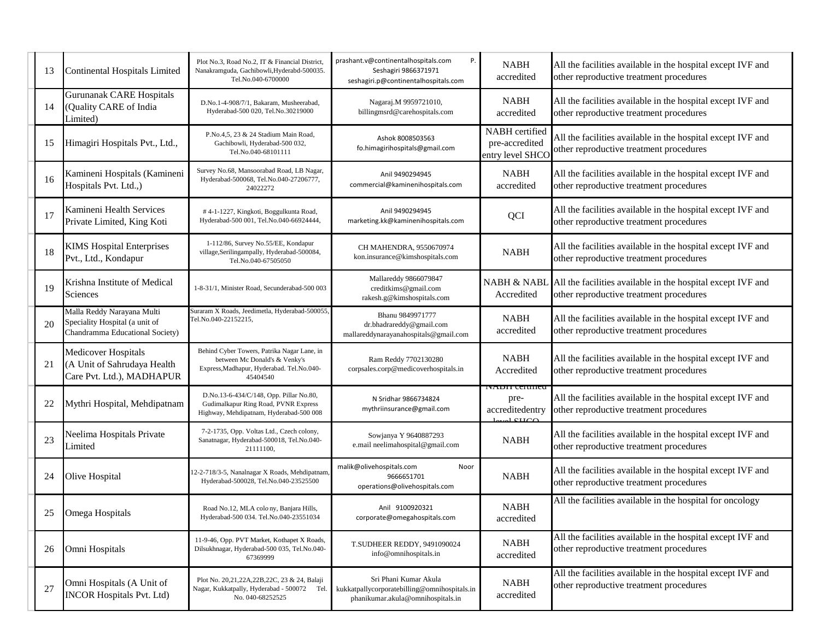| 13 | <b>Continental Hospitals Limited</b>                                                            | Plot No.3, Road No.2, IT & Financial District,<br>Nanakramguda, Gachibowli, Hyderabd-500035.<br>Tel.No.040-6700000                    | prashant.v@continentalhospitals.com<br>Ρ.<br>Seshagiri 9866371971<br>seshagiri.p@continentalhospitals.com  | <b>NABH</b><br>accredited                           | All the facilities available in the hospital except IVF and<br>other reproductive treatment procedures |
|----|-------------------------------------------------------------------------------------------------|---------------------------------------------------------------------------------------------------------------------------------------|------------------------------------------------------------------------------------------------------------|-----------------------------------------------------|--------------------------------------------------------------------------------------------------------|
| 14 | <b>Gurunanak CARE Hospitals</b><br>(Quality CARE of India<br>Limited)                           | D.No.1-4-908/7/1, Bakaram, Musheerabad,<br>Hyderabad-500 020, Tel.No.30219000                                                         | Nagaraj.M 9959721010,<br>billingmsrd@carehospitals.com                                                     | <b>NABH</b><br>accredited                           | All the facilities available in the hospital except IVF and<br>other reproductive treatment procedures |
| 15 | Himagiri Hospitals Pvt., Ltd.,                                                                  | P.No.4,5, 23 & 24 Stadium Main Road,<br>Gachibowli, Hyderabad-500 032,<br>Tel.No.040-68101111                                         | Ashok 8008503563<br>fo.himagirihospitals@gmail.com                                                         | NABH certified<br>pre-accredited<br>entry level SHC | All the facilities available in the hospital except IVF and<br>other reproductive treatment procedures |
| 16 | Kamineni Hospitals (Kamineni<br>Hospitals Pvt. Ltd.,)                                           | Survey No.68, Mansoorabad Road, LB Nagar,<br>Hyderabad-500068, Tel.No.040-27206777,<br>24022272                                       | Anil 9490294945<br>commercial@kaminenihospitals.com                                                        | <b>NABH</b><br>accredited                           | All the facilities available in the hospital except IVF and<br>other reproductive treatment procedures |
| 17 | Kamineni Health Services<br>Private Limited, King Koti                                          | #4-1-1227, Kingkoti, Boggulkunta Road,<br>Hyderabad-500 001, Tel.No.040-66924444,                                                     | Anil 9490294945<br>marketing.kk@kaminenihospitals.com                                                      | QCI                                                 | All the facilities available in the hospital except IVF and<br>other reproductive treatment procedures |
| 18 | <b>KIMS Hospital Enterprises</b><br>Pvt., Ltd., Kondapur                                        | 1-112/86, Survey No.55/EE, Kondapur<br>village, Serilingampally, Hyderabad-500084,<br>Tel.No.040-67505050                             | CH MAHENDRA, 9550670974<br>kon.insurance@kimshospitals.com                                                 | <b>NABH</b>                                         | All the facilities available in the hospital except IVF and<br>other reproductive treatment procedures |
| 19 | Krishna Institute of Medical<br><b>Sciences</b>                                                 | 1-8-31/1, Minister Road, Secunderabad-500 003                                                                                         | Mallareddy 9866079847<br>creditkims@gmail.com<br>rakesh.g@kimshospitals.com                                | <b>NABH &amp; NABI</b><br>Accredited                | All the facilities available in the hospital except IVF and<br>other reproductive treatment procedures |
| 20 | Malla Reddy Narayana Multi<br>Speciality Hospital (a unit of<br>Chandramma Educational Society) | Suraram X Roads, Jeedimetla, Hyderabad-500055<br>Tel.No.040-22152215,                                                                 | Bhanu 9849971777<br>dr.bhadrareddy@gmail.com<br>mallareddynarayanahospitals@gmail.com                      | <b>NABH</b><br>accredited                           | All the facilities available in the hospital except IVF and<br>other reproductive treatment procedures |
| 21 | Medicover Hospitals<br>(A Unit of Sahrudaya Health<br>Care Pvt. Ltd.), MADHAPUR                 | Behind Cyber Towers, Patrika Nagar Lane, in<br>between Mc Donald's & Venky's<br>Express, Madhapur, Hyderabad. Tel.No.040-<br>45404540 | Ram Reddy 7702130280<br>corpsales.corp@medicoverhospitals.in                                               | <b>NABH</b><br>Accredited                           | All the facilities available in the hospital except IVF and<br>other reproductive treatment procedures |
| 22 | Mythri Hospital, Mehdipatnam                                                                    | D.No.13-6-434/C/148, Opp. Pillar No.80,<br>Gudimalkapur Ring Road, PVNR Express<br>Highway, Mehdipatnam, Hyderabad-500 008            | N Sridhar 9866734824<br>mythriinsurance@gmail.com                                                          | iyadii cehined<br>pre-<br>accreditedentry<br>C      | All the facilities available in the hospital except IVF and<br>other reproductive treatment procedures |
| 23 | Neelima Hospitals Private<br>Limited                                                            | 7-2-1735, Opp. Voltas Ltd., Czech colony,<br>Sanatnagar, Hyderabad-500018, Tel.No.040-<br>21111100.                                   | Sowjanya Y 9640887293<br>e.mail neelimahospital@gmail.com                                                  | <b>NABH</b>                                         | All the facilities available in the hospital except IVF and<br>other reproductive treatment procedures |
| 24 | Olive Hospital                                                                                  | 12-2-718/3-5, Nanalnagar X Roads, Mehdipatnam<br>Hyderabad-500028, Tel.No.040-23525500                                                | malik@olivehospitals.com<br>Noor<br>9666651701<br>operations@olivehospitals.com                            | <b>NABH</b>                                         | All the facilities available in the hospital except IVF and<br>other reproductive treatment procedures |
| 25 | Omega Hospitals                                                                                 | Road No.12, MLA colo ny, Banjara Hills,<br>Hyderabad-500 034. Tel.No.040-23551034                                                     | Anil 9100920321<br>corporate@omegahospitals.com                                                            | <b>NABH</b><br>accredited                           | All the facilities available in the hospital for oncology                                              |
| 26 | Omni Hospitals                                                                                  | 11-9-46, Opp. PVT Market, Kothapet X Roads,<br>Dilsukhnagar, Hyderabad-500 035, Tel.No.040-<br>67369999                               | T.SUDHEER REDDY, 9491090024<br>info@omnihospitals.in                                                       | <b>NABH</b><br>accredited                           | All the facilities available in the hospital except IVF and<br>other reproductive treatment procedures |
| 27 | Omni Hospitals (A Unit of<br><b>INCOR Hospitals Pvt. Ltd)</b>                                   | Plot No. 20,21,22A,22B,22C, 23 & 24, Balaji<br>Nagar, Kukkatpally, Hyderabad - 500072 Tel.<br>No. 040-68252525                        | Sri Phani Kumar Akula<br>kukkatpallycorporatebilling@omnihospitals.in<br>phanikumar.akula@omnihospitals.in | <b>NABH</b><br>accredited                           | All the facilities available in the hospital except IVF and<br>other reproductive treatment procedures |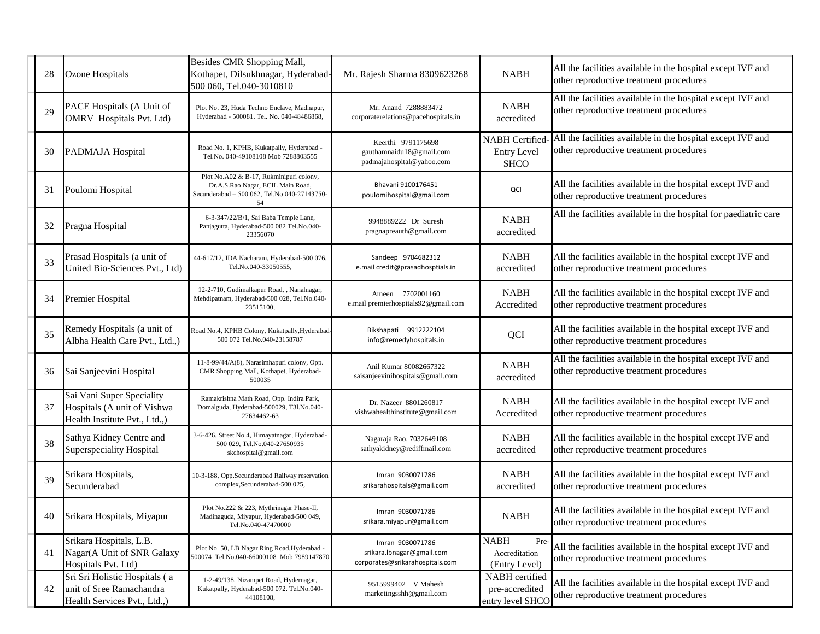| 28 | Ozone Hospitals                                                                           | Besides CMR Shopping Mall,<br>Kothapet, Dilsukhnagar, Hyderabad-<br>500 060, Tel.040-3010810                                       | Mr. Rajesh Sharma 8309623268                                                     | <b>NABH</b>                                                | All the facilities available in the hospital except IVF and<br>other reproductive treatment procedures |
|----|-------------------------------------------------------------------------------------------|------------------------------------------------------------------------------------------------------------------------------------|----------------------------------------------------------------------------------|------------------------------------------------------------|--------------------------------------------------------------------------------------------------------|
| 29 | PACE Hospitals (A Unit of<br>OMRV Hospitals Pvt. Ltd)                                     | Plot No. 23, Huda Techno Enclave, Madhapur,<br>Hyderabad - 500081. Tel. No. 040-48486868,                                          | Mr. Anand 7288883472<br>corporaterelations@pacehospitals.in                      | <b>NABH</b><br>accredited                                  | All the facilities available in the hospital except IVF and<br>other reproductive treatment procedures |
| 30 | PADMAJA Hospital                                                                          | Road No. 1, KPHB, Kukatpally, Hyderabad -<br>Tel.No. 040-49108108 Mob 7288803555                                                   | Keerthi 9791175698<br>gauthamnaidu18@gmail.com<br>padmajahospital@yahoo.com      | <b>NABH</b> Certified<br><b>Entry Level</b><br><b>SHCO</b> | All the facilities available in the hospital except IVF and<br>other reproductive treatment procedures |
| 31 | Poulomi Hospital                                                                          | Plot No.A02 & B-17, Rukminipuri colony,<br>Dr.A.S.Rao Nagar, ECIL Main Road,<br>Secunderabad - 500 062, Tel.No.040-27143750-<br>54 | Bhavani 9100176451<br>poulomihospital@gmail.com                                  | QCI                                                        | All the facilities available in the hospital except IVF and<br>other reproductive treatment procedures |
| 32 | Pragna Hospital                                                                           | 6-3-347/22/B/1, Sai Baba Temple Lane,<br>Panjagutta, Hyderabad-500 082 Tel.No.040-<br>23356070                                     | 9948889222 Dr Suresh<br>pragnapreauth@gmail.com                                  | <b>NABH</b><br>accredited                                  | All the facilities available in the hospital for paediatric care                                       |
| 33 | Prasad Hospitals (a unit of<br>United Bio-Sciences Pvt., Ltd)                             | 44-617/12, IDA Nacharam, Hyderabad-500 076,<br>Tel.No.040-33050555,                                                                | Sandeep 9704682312<br>e.mail credit@prasadhosptials.in                           | <b>NABH</b><br>accredited                                  | All the facilities available in the hospital except IVF and<br>other reproductive treatment procedures |
| 34 | Premier Hospital                                                                          | 12-2-710, Gudimalkapur Road, , Nanalnagar,<br>Mehdipatnam, Hyderabad-500 028, Tel.No.040-<br>23515100,                             | Ameen 7702001160<br>e.mail premierhospitals92@gmail.com                          | <b>NABH</b><br>Accredited                                  | All the facilities available in the hospital except IVF and<br>other reproductive treatment procedures |
| 35 | Remedy Hospitals (a unit of<br>Albha Health Care Pvt., Ltd.,)                             | Road No.4, KPHB Colony, Kukatpally, Hyderabad<br>500 072 Tel.No.040-23158787                                                       | Bikshapati 9912222104<br>info@remedyhospitals.in                                 | <b>QCI</b>                                                 | All the facilities available in the hospital except IVF and<br>other reproductive treatment procedures |
| 36 | Sai Sanjeevini Hospital                                                                   | 11-8-99/44/A(8), Narasimhapuri colony, Opp.<br>CMR Shopping Mall, Kothapet, Hyderabad-<br>500035                                   | Anil Kumar 80082667322<br>saisanjeevinihospitals@gmail.com                       | <b>NABH</b><br>accredited                                  | All the facilities available in the hospital except IVF and<br>other reproductive treatment procedures |
| 37 | Sai Vani Super Speciality<br>Hospitals (A unit of Vishwa<br>Health Institute Pvt., Ltd.,) | Ramakrishna Math Road, Opp. Indira Park,<br>Domalguda, Hyderabad-500029, T3l.No.040-<br>27634462-63                                | Dr. Nazeer 8801260817<br>vishwahealthinstitute@gmail.com                         | <b>NABH</b><br>Accredited                                  | All the facilities available in the hospital except IVF and<br>other reproductive treatment procedures |
| 38 | Sathya Kidney Centre and<br>Superspeciality Hospital                                      | 3-6-426, Street No.4, Himayatnagar, Hyderabad-<br>500 029, Tel.No.040-27650935<br>skchospital@gmail.com                            | Nagaraja Rao, 7032649108<br>sathyakidney@rediffmail.com                          | <b>NABH</b><br>accredited                                  | All the facilities available in the hospital except IVF and<br>other reproductive treatment procedures |
| 39 | Srikara Hospitals,<br>Secunderabad                                                        | 10-3-188, Opp.Secunderabad Railway reservation<br>complex, Secunderabad-500 025,                                                   | Imran 9030071786<br>srikarahospitals@gmail.com                                   | <b>NABH</b><br>accredited                                  | All the facilities available in the hospital except IVF and<br>other reproductive treatment procedures |
| 40 | Srikara Hospitals, Miyapur                                                                | Plot No.222 & 223, Mythrinagar Phase-II,<br>Madinaguda, Miyapur, Hyderabad-500 049,<br>Tel.No.040-47470000                         | Imran 9030071786<br>srikara.miyapur@gmail.com                                    | <b>NABH</b>                                                | All the facilities available in the hospital except IVF and<br>other reproductive treatment procedures |
| 41 | Srikara Hospitals, L.B.<br>Nagar(A Unit of SNR Galaxy<br>Hospitals Pvt. Ltd)              | Plot No. 50, LB Nagar Ring Road, Hyderabad -<br>500074 Tel.No.040-66000108 Mob 7989147870                                          | Imran 9030071786<br>srikara.lbnagar@gmail.com<br>corporates@srikarahospitals.com | <b>NABH</b><br>Pre-<br>Accreditation<br>(Entry Level)      | All the facilities available in the hospital except IVF and<br>other reproductive treatment procedures |
| 42 | Sri Sri Holistic Hospitals (a<br>unit of Sree Ramachandra<br>Health Services Pvt., Ltd.,) | 1-2-49/138, Nizampet Road, Hydernagar,<br>Kukatpally, Hyderabad-500 072. Tel.No.040-<br>44108108,                                  | 9515999402 V Mahesh<br>marketingsshh@gmail.com                                   | NABH certified<br>pre-accredited<br>entry level SHCO       | All the facilities available in the hospital except IVF and<br>other reproductive treatment procedures |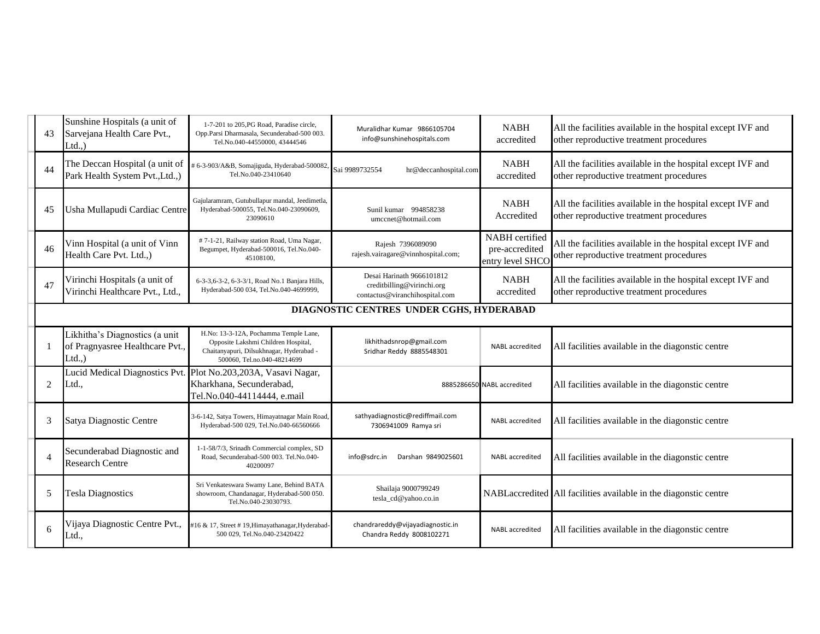| 43             | Sunshine Hospitals (a unit of<br>Sarvejana Health Care Pvt.,<br>$Ltd.$ )   | 1-7-201 to 205, PG Road, Paradise circle,<br>Opp.Parsi Dharmasala, Secunderabad-500 003.<br>Tel.No.040-44550000, 43444546                               | Muralidhar Kumar 9866105704<br>info@sunshinehospitals.com                                 | <b>NABH</b><br>accredited                            | All the facilities available in the hospital except IVF and<br>other reproductive treatment procedures |  |  |
|----------------|----------------------------------------------------------------------------|---------------------------------------------------------------------------------------------------------------------------------------------------------|-------------------------------------------------------------------------------------------|------------------------------------------------------|--------------------------------------------------------------------------------------------------------|--|--|
| 44             | The Deccan Hospital (a unit of<br>Park Health System Pvt., Ltd., )         | # 6-3-903/A&B, Somajiguda, Hyderabad-500082<br>Tel.No.040-23410640                                                                                      | Sai 9989732554<br>hr@deccanhospital.com                                                   | <b>NABH</b><br>accredited                            | All the facilities available in the hospital except IVF and<br>other reproductive treatment procedures |  |  |
| 45             | Usha Mullapudi Cardiac Centre                                              | Gajularamram, Gutubullapur mandal, Jeedimetla,<br>Hyderabad-500055, Tel.No.040-23090609,<br>23090610                                                    | Sunil kumar 994858238<br>umccnet@hotmail.com                                              | <b>NABH</b><br>Accredited                            | All the facilities available in the hospital except IVF and<br>other reproductive treatment procedures |  |  |
| 46             | Vinn Hospital (a unit of Vinn<br>Health Care Pvt. Ltd.,)                   | #7-1-21, Railway station Road, Uma Nagar,<br>Begumpet, Hyderabad-500016, Tel.No.040-<br>45108100,                                                       | Rajesh 7396089090<br>rajesh.vairagare@vinnhospital.com;                                   | NABH certified<br>pre-accredited<br>entry level SHCO | All the facilities available in the hospital except IVF and<br>other reproductive treatment procedures |  |  |
| 47             | Virinchi Hospitals (a unit of<br>Virinchi Healthcare Pvt., Ltd.,           | 6-3-3,6-3-2, 6-3-3/1, Road No.1 Banjara Hills,<br>Hyderabad-500 034, Tel.No.040-4699999,                                                                | Desai Harinath 9666101812<br>creditbilling@virinchi.org<br>contactus@viranchihospital.com | <b>NABH</b><br>accredited                            | All the facilities available in the hospital except IVF and<br>other reproductive treatment procedures |  |  |
|                | DIAGNOSTIC CENTRES UNDER CGHS, HYDERABAD                                   |                                                                                                                                                         |                                                                                           |                                                      |                                                                                                        |  |  |
|                | Likhitha's Diagnostics (a unit<br>of Pragnyasree Healthcare Pvt.,<br>Ltd., | H.No: 13-3-12A, Pochamma Temple Lane,<br>Opposite Lakshmi Children Hospital,<br>Chaitanyapuri, Dilsukhnagar, Hyderabad -<br>500060, Tel.no.040-48214699 | likhithadsnrop@gmail.com<br>Sridhar Reddy 8885548301                                      | NABL accredited                                      | All facilities available in the diagonstic centre                                                      |  |  |
| $\overline{2}$ | Ltd.,                                                                      | Lucid Medical Diagnostics Pvt. Plot No.203,203A, Vasavi Nagar,<br>Kharkhana, Secunderabad,<br>Tel.No.040-44114444, e.mail                               |                                                                                           | 8885286650 NABL accredited                           | All facilities available in the diagonstic centre                                                      |  |  |
| 3              | Satya Diagnostic Centre                                                    | 3-6-142, Satya Towers, Himayatnagar Main Road<br>Hyderabad-500 029, Tel.No.040-66560666                                                                 | sathyadiagnostic@rediffmail.com<br>7306941009 Ramya sri                                   | <b>NABL</b> accredited                               | All facilities available in the diagonstic centre                                                      |  |  |
| $\overline{4}$ | Secunderabad Diagnostic and<br><b>Research Centre</b>                      | 1-1-58/7/3, Srinadh Commercial complex, SD<br>Road, Secunderabad-500 003. Tel.No.040-<br>40200097                                                       | Darshan 9849025601<br>info@sdrc.in                                                        | <b>NABL</b> accredited                               | All facilities available in the diagonstic centre                                                      |  |  |
| 5              | <b>Tesla Diagnostics</b>                                                   | Sri Venkateswara Swamy Lane, Behind BATA<br>showroom, Chandanagar, Hyderabad-500 050.<br>Tel.No.040-23030793.                                           | Shailaja 9000799249<br>tesla_cd@yahoo.co.in                                               |                                                      | NABLaccredited All facilities available in the diagonstic centre                                       |  |  |
| 6              | Vijaya Diagnostic Centre Pvt.,<br>Ltd.,                                    | #16 & 17, Street #19, Himayathanagar, Hyderabad-<br>500 029, Tel.No.040-23420422                                                                        | chandrareddy@vijayadiagnostic.in<br>Chandra Reddy 8008102271                              | <b>NABL</b> accredited                               | All facilities available in the diagonstic centre                                                      |  |  |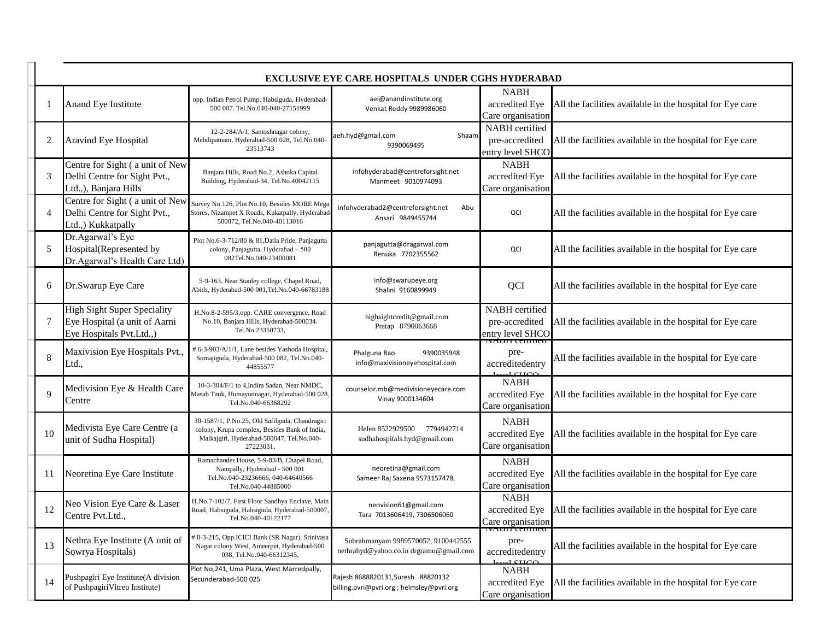|                | <b>EXCLUSIVE EYE CARE HOSPITALS UNDER CGHS HYDERABAD</b>                                        |                                                                                                                                                           |                                                                                 |                                                       |                                                           |  |  |
|----------------|-------------------------------------------------------------------------------------------------|-----------------------------------------------------------------------------------------------------------------------------------------------------------|---------------------------------------------------------------------------------|-------------------------------------------------------|-----------------------------------------------------------|--|--|
|                | Anand Eye Institute                                                                             | opp. Indian Petrol Pump, Habsiguda, Hyderabad-<br>500 007. Tel.No.040-040-27151999                                                                        | aei@anandinstitute.org<br>Venkat Reddy 9989986060                               | <b>NABH</b><br>accredited Eye<br>Care organisation    | All the facilities available in the hospital for Eye care |  |  |
| 2              | Aravind Eye Hospital                                                                            | 12-2-284/A/1, Santoshnagar colony,<br>Mehdipatnam, Hyderabad-500 028, Tel.No.040-<br>23513743                                                             | aeh.hyd@gmail.com<br>Shaam<br>9390069495                                        | NABH certified<br>pre-accredited<br>entry level SHCO  | All the facilities available in the hospital for Eye care |  |  |
| 3              | Centre for Sight (a unit of New<br>Delhi Centre for Sight Pvt.,<br>Ltd.,), Banjara Hills        | Banjara Hills, Road No.2, Ashoka Capital<br>Building, Hyderabad-34, Tel.No.40042115                                                                       | infohyderabad@centreforsight.net<br>Manmeet 9010974093                          | <b>NABH</b><br>accredited Eye<br>Care organisation    | All the facilities available in the hospital for Eye care |  |  |
| $\overline{4}$ | Centre for Sight (a unit of New<br>Delhi Centre for Sight Pvt.,<br>Ltd.,) Kukkatpally           | Survey No.126, Plot No.10, Besides MORE Mega<br>Stores, Nizampet X Roads, Kukatpally, Hyderabac<br>500072, Tel.No.040-40113016                            | infohyderabad2@centreforsight.net<br>Abu<br>Ansari 9849455744                   | QCI                                                   | All the facilities available in the hospital for Eye care |  |  |
| 5              | Dr.Agarwal's Eye<br>Hospital(Represented by<br>Dr.Agarwal's Health Care Ltd)                    | Plot No.6-3-712/80 & 81, Datla Pride, Panjagutta<br>colony, Panjagutta, Hyderabad - 500<br>082Tel.No.040-23400081                                         | panjagutta@dragarwal.com<br>Renuka 7702355562                                   | QCI                                                   | All the facilities available in the hospital for Eye care |  |  |
| 6              | Dr.Swarup Eye Care                                                                              | 5-9-163, Near Stanley college, Chapel Road,<br>Abids, Hyderabad-500 001, Tel.No.040-66783188                                                              | info@swarupeye.org<br>Shalini 9160899949                                        | QCI                                                   | All the facilities available in the hospital for Eye care |  |  |
| 7              | <b>High Sight Super Speciality</b><br>Eye Hospital (a unit of Aarni<br>Eye Hospitals Pvt.Ltd.,) | H.No.8-2-595/3,opp. CARE convergence, Road<br>No.10, Banjara Hills, Hyderabad-500034.<br>Tel.No.23350733,                                                 | highsightcredit@gmail.com<br>Pratap 8790063668                                  | NABH certified<br>pre-accredited<br>entry level SHCO  | All the facilities available in the hospital for Eye care |  |  |
| 8              | Maxivision Eye Hospitals Pvt.,<br>Ltd.,                                                         | # 6-3-903/A/1/1, Lane besides Yashoda Hospital<br>Somajiguda, Hyderabad-500 082, Tel.No.040-<br>44855577                                                  | 9390035948<br>Phalguna Rao<br>info@maxivisioneyehospital.com                    | pre-<br>accreditedentry                               | All the facilities available in the hospital for Eye care |  |  |
| 9              | Medivision Eye & Health Care<br>Centre                                                          | 10-3-304/F/1 to 4, Indira Sadan, Near NMDC,<br>Masab Tank, Humayunnagar, Hyderabad-500 028<br>Tel.No.040-66368292                                         | counselor.mb@medivisioneyecare.com<br>Vinay 9000134604                          | <b>NABH</b><br>accredited Eye<br>Care organisation    | All the facilities available in the hospital for Eye care |  |  |
| 10             | Medivista Eye Care Centre (a<br>unit of Sudha Hospital)                                         | 30-1587/1, P.No.25, Old Safilguda, Chandragiri<br>colony, Krupa complex, Besides Bank of India,<br>Malkajgiri, Hyderabad-500047, Tel.No.040-<br>27223031. | Helen 8522929500<br>7794942714<br>sudhahospitals.hyd@gmail.com                  | <b>NABH</b><br>accredited Eye<br>Care organisation    | All the facilities available in the hospital for Eye care |  |  |
| 11             | Neoretina Eye Care Institute                                                                    | Ramachander House, 5-9-83/B, Chapel Road,<br>Nampally, Hyderabad - 500 001<br>Tel.No.040-23236666, 040-64640566<br>Tel.No.040-44885000                    | neoretina@gmail.com<br>Sameer Raj Saxena 9573157478,                            | <b>NABH</b><br>accredited Eye<br>Care organisation    | All the facilities available in the hospital for Eye care |  |  |
| 12             | Neo Vision Eye Care & Laser<br>Centre Pvt.Ltd.,                                                 | H.No.7-102/7, First Floor Sandhya Enclave, Mair<br>Road, Habsiguda, Habsiguda, Hyderabad-500007<br>Tel.No.040-40122177                                    | neovision61@gmail.com<br>Tara 7013606419, 7306506060                            | <b>NABH</b><br>accredited Eye<br>Care organisation    | All the facilities available in the hospital for Eye care |  |  |
| 13             | Nethra Eye Institute (A unit of<br>Sowrya Hospitals)                                            | # 8-3-215, Opp.ICICI Bank (SR Nagar), Srinivasa<br>Nagar colony West, Ameerpet, Hyderabad-500<br>038, Tel.No.040-66312345,                                | Subrahmanyam 9989570052, 9100442555<br>nethrahyd@yahoo.co.in drgramu@gmail.com  | iv <del>adit ceruncu</del><br>pre-<br>accreditedentry | All the facilities available in the hospital for Eye care |  |  |
| 14             | Pushpagiri Eye Institute(A division<br>of PushpagiriVitreo Institute)                           | Plot No, 241, Uma Plaza, West Marredpally,<br>Secunderabad-500 025                                                                                        | Rajesh 8688820131, Suresh 88820132<br>billing.pvri@pvri.org ; helmsley@pvri.org | <b>NABH</b><br>accredited Eye<br>Care organisation    | All the facilities available in the hospital for Eye care |  |  |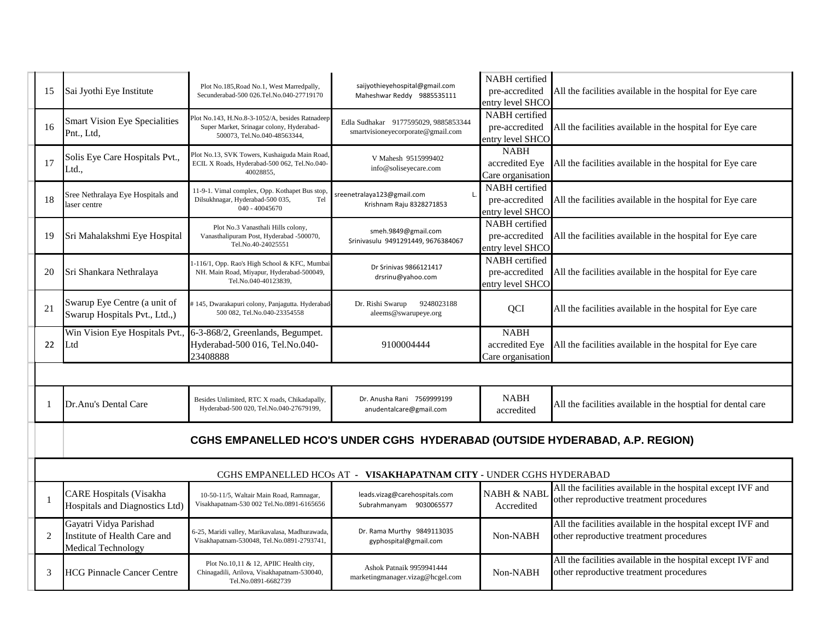| 15           | Sai Jyothi Eye Institute                                                            | Plot No.185, Road No.1, West Marredpally,<br>Secunderabad-500 026.Tel.No.040-27719170                                        | saijyothieyehospital@gmail.com<br>Maheshwar Reddy 9885535111                | NABH certified<br>pre-accredited<br>entry level SHCO        | All the facilities available in the hospital for Eye care                                              |  |
|--------------|-------------------------------------------------------------------------------------|------------------------------------------------------------------------------------------------------------------------------|-----------------------------------------------------------------------------|-------------------------------------------------------------|--------------------------------------------------------------------------------------------------------|--|
| 16           | <b>Smart Vision Eye Specialities</b><br>Pnt., Ltd,                                  | Plot No.143, H.No.8-3-1052/A, besides Ratnadeep<br>Super Market, Srinagar colony, Hyderabad-<br>500073, Tel.No.040-48563344, | Edla Sudhakar 9177595029, 9885853344<br>smartvisioneyecorporate@gmail.com   | <b>NABH</b> certified<br>pre-accredited<br>entry level SHCO | All the facilities available in the hospital for Eye care                                              |  |
| 17           | Solis Eye Care Hospitals Pvt.,<br>Ltd.,                                             | Plot No.13, SVK Towers, Kushaiguda Main Road,<br>ECIL X Roads, Hyderabad-500 062, Tel.No.040-<br>40028855.                   | V Mahesh 9515999402<br>info@soliseyecare.com                                | <b>NABH</b><br>accredited Eye<br>Care organisation          | All the facilities available in the hospital for Eye care                                              |  |
| 18           | Sree Nethralaya Eye Hospitals and<br>laser centre                                   | 11-9-1. Vimal complex, Opp. Kothapet Bus stop<br>Dilsukhnagar, Hyderabad-500 035,<br>Tel<br>040 - 40045670                   | sreenetralaya123@gmail.com<br>Krishnam Raju 8328271853                      | NABH certified<br>pre-accredited<br>entry level SHCO        | All the facilities available in the hospital for Eye care                                              |  |
| 19           | Sri Mahalakshmi Eye Hospital                                                        | Plot No.3 Vanasthali Hills colony,<br>Vanasthalipuram Post, Hyderabad -500070,<br>Tel.No.40-24025551                         | smeh.9849@gmail.com<br>Srinivasulu 9491291449, 9676384067                   | NABH certified<br>pre-accredited<br>entry level SHCO        | All the facilities available in the hospital for Eye care                                              |  |
| 20           | Sri Shankara Nethralaya                                                             | -116/1, Opp. Rao's High School & KFC, Mumbai<br>NH. Main Road, Miyapur, Hyderabad-500049,<br>Tel.No.040-40123839,            | Dr Srinivas 9866121417<br>drsrinu@yahoo.com                                 | NABH certified<br>pre-accredited<br>entry level SHCO        | All the facilities available in the hospital for Eye care                                              |  |
| 21           | Swarup Eye Centre (a unit of<br>Swarup Hospitals Pvt., Ltd.,)                       | 145, Dwarakapuri colony, Panjagutta. Hyderabad<br>500 082, Tel.No.040-23354558                                               | Dr. Rishi Swarup<br>9248023188<br>aleems@swarupeye.org                      | <b>QCI</b>                                                  | All the facilities available in the hospital for Eye care                                              |  |
| 22           | Win Vision Eye Hospitals Pvt.,<br>Ltd                                               | 6-3-868/2, Greenlands, Begumpet.<br>Hyderabad-500 016, Tel.No.040-<br>23408888                                               | 9100004444                                                                  | <b>NABH</b><br>accredited Eye<br>Care organisation          | All the facilities available in the hospital for Eye care                                              |  |
|              |                                                                                     |                                                                                                                              |                                                                             |                                                             |                                                                                                        |  |
| 1            | Dr.Anu's Dental Care                                                                | Besides Unlimited, RTC X roads, Chikadapally,<br>Hyderabad-500 020, Tel.No.040-27679199,                                     | Dr. Anusha Rani 7569999199<br>anudentalcare@gmail.com                       | <b>NABH</b><br>accredited                                   | All the facilities available in the hosptial for dental care                                           |  |
|              |                                                                                     |                                                                                                                              | CGHS EMPANELLED HCO'S UNDER CGHS HYDERABAD (OUTSIDE HYDERABAD, A.P. REGION) |                                                             |                                                                                                        |  |
|              | CGHS EMPANELLED HCOs AT - VISAKHAPATNAM CITY - UNDER CGHS HYDERABAD                 |                                                                                                                              |                                                                             |                                                             |                                                                                                        |  |
| $\mathbf{1}$ | <b>CARE Hospitals (Visakha</b><br>Hospitals and Diagnostics Ltd)                    | 10-50-11/5, Waltair Main Road, Ramnagar,<br>Visakhapatnam-530 002 Tel.No.0891-6165656                                        | leads.vizag@carehospitals.com<br>Subrahmanyam 9030065577                    | <b>NABH &amp; NABI</b><br>Accredited                        | All the facilities available in the hospital except IVF and<br>other reproductive treatment procedures |  |
| 2            | Gayatri Vidya Parishad<br>Institute of Health Care and<br><b>Medical Technology</b> | 6-25, Maridi valley, Marikavalasa, Madhurawada,<br>Visakhapatnam-530048, Tel.No.0891-2793741,                                | Dr. Rama Murthy 9849113035<br>gyphospital@gmail.com                         | Non-NABH                                                    | All the facilities available in the hospital except IVF and<br>other reproductive treatment procedures |  |
| 3            | <b>HCG Pinnacle Cancer Centre</b>                                                   | Plot No.10,11 & 12, APIIC Health city,<br>Chinagadili, Arilova, Visakhapatnam-530040,<br>Tel.No.0891-6682739                 | Ashok Patnaik 9959941444<br>marketingmanager.vizag@hcgel.com                | Non-NABH                                                    | All the facilities available in the hospital except IVF and<br>other reproductive treatment procedures |  |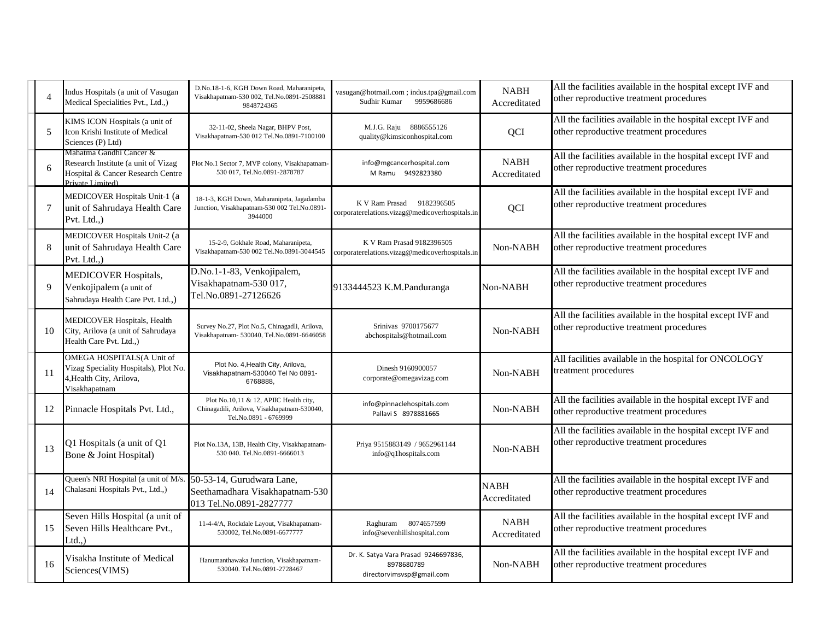|    | Indus Hospitals (a unit of Vasugan<br>Medical Specialities Pvt., Ltd.,)                                                 | D.No.18-1-6, KGH Down Road, Maharanipeta,<br>Visakhapatnam-530 002, Tel.No.0891-2508881<br>9848724365          | vasugan@hotmail.com ; indus.tpa@gmail.com<br>9959686686<br>Sudhir Kumar         | <b>NABH</b><br>Accreditated | All the facilities available in the hospital except IVF and<br>other reproductive treatment procedures |
|----|-------------------------------------------------------------------------------------------------------------------------|----------------------------------------------------------------------------------------------------------------|---------------------------------------------------------------------------------|-----------------------------|--------------------------------------------------------------------------------------------------------|
| 5  | KIMS ICON Hospitals (a unit of<br>Icon Krishi Institute of Medical<br>Sciences (P) Ltd)                                 | 32-11-02, Sheela Nagar, BHPV Post,<br>Visakhapatnam-530 012 Tel.No.0891-7100100                                | M.J.G. Raju 8886555126<br>quality@kimsiconhospital.com                          | QCI                         | All the facilities available in the hospital except IVF and<br>other reproductive treatment procedures |
|    | Mahatma Gandhi Cancer &<br>Research Institute (a unit of Vizag<br>Hospital & Cancer Research Centre<br>Private Limited) | Plot No.1 Sector 7, MVP colony, Visakhapatnam<br>530 017, Tel.No.0891-2878787                                  | info@mgcancerhospital.com<br>M Ramu 9492823380                                  | <b>NABH</b><br>Accreditated | All the facilities available in the hospital except IVF and<br>other reproductive treatment procedures |
|    | MEDICOVER Hospitals Unit-1 (a<br>unit of Sahrudaya Health Care<br>Pvt. Ltd.,)                                           | 18-1-3, KGH Down, Maharanipeta, Jagadamba<br>Junction, Visakhapatnam-530 002 Tel.No.0891-<br>3944000           | K V Ram Prasad<br>9182396505<br>corporaterelations.vizag@medicoverhospitals.in  | QCI                         | All the facilities available in the hospital except IVF and<br>other reproductive treatment procedures |
|    | MEDICOVER Hospitals Unit-2 (a<br>unit of Sahrudaya Health Care<br>Pvt. Ltd.,)                                           | 15-2-9, Gokhale Road, Maharanipeta,<br>Visakhapatnam-530 002 Tel.No.0891-3044545                               | K V Ram Prasad 9182396505<br>corporaterelations.vizag@medicoverhospitals.in     | Non-NABH                    | All the facilities available in the hospital except IVF and<br>other reproductive treatment procedures |
| 9  | <b>MEDICOVER Hospitals,</b><br>Venkojipalem (a unit of<br>Sahrudaya Health Care Pvt. Ltd.,)                             | D.No.1-1-83, Venkojipalem,<br>Visakhapatnam-530 017,<br>Tel.No.0891-27126626                                   | 9133444523 K.M.Panduranga                                                       | Non-NABH                    | All the facilities available in the hospital except IVF and<br>other reproductive treatment procedures |
| 10 | MEDICOVER Hospitals, Health<br>City, Arilova (a unit of Sahrudaya<br>Health Care Pvt. Ltd.,)                            | Survey No.27, Plot No.5, Chinagadli, Arilova,<br>Visakhapatnam- 530040, Tel.No.0891-6646058                    | Srinivas 9700175677<br>abchospitals@hotmail.com                                 | Non-NABH                    | All the facilities available in the hospital except IVF and<br>other reproductive treatment procedures |
|    | OMEGA HOSPITALS(A Unit of<br>Vizag Speciality Hospitals), Plot No.<br>4, Health City, Arilova,<br>Visakhapatnam         | Plot No. 4, Health City, Arilova,<br>Visakhapatnam-530040 Tel No 0891-<br>6768888,                             | Dinesh 9160900057<br>corporate@omegavizag.com                                   | Non-NABH                    | All facilities available in the hospital for ONCOLOGY<br>treatment procedures                          |
| 12 | Pinnacle Hospitals Pvt. Ltd.,                                                                                           | Plot No.10,11 & 12, APIIC Health city,<br>Chinagadili, Arilova, Visakhapatnam-530040,<br>Tel.No.0891 - 6769999 | info@pinnaclehospitals.com<br>Pallavi S 8978881665                              | Non-NABH                    | All the facilities available in the hospital except IVF and<br>other reproductive treatment procedures |
| 13 | Q1 Hospitals (a unit of Q1<br>Bone & Joint Hospital)                                                                    | Plot No.13A, 13B, Health City, Visakhapatnam-<br>530 040. Tel.No.0891-6666013                                  | Priya 9515883149 / 9652961144<br>info@q1hospitals.com                           | Non-NABH                    | All the facilities available in the hospital except IVF and<br>other reproductive treatment procedures |
| 14 | Queen's NRI Hospital (a unit of M/s<br>Chalasani Hospitals Pvt., Ltd.,)                                                 | 50-53-14, Gurudwara Lane,<br>Seethamadhara Visakhapatnam-530<br>013 Tel.No.0891-2827777                        |                                                                                 | <b>NABH</b><br>Accreditated | All the facilities available in the hospital except IVF and<br>other reproductive treatment procedures |
| 15 | Seven Hills Hospital (a unit of<br>Seven Hills Healthcare Pvt.,<br>$Ltd.$ )                                             | 11-4-4/A, Rockdale Layout, Visakhapatnam-<br>530002, Tel.No.0891-6677777                                       | 8074657599<br>Raghuram<br>info@sevenhillshospital.com                           | <b>NABH</b><br>Accreditated | All the facilities available in the hospital except IVF and<br>other reproductive treatment procedures |
| 16 | Visakha Institute of Medical<br>Sciences(VIMS)                                                                          | Hanumanthawaka Junction, Visakhapatnam-<br>530040. Tel.No.0891-2728467                                         | Dr. K. Satya Vara Prasad 9246697836,<br>8978680789<br>directorvimsvsp@gmail.com | Non-NABH                    | All the facilities available in the hospital except IVF and<br>other reproductive treatment procedures |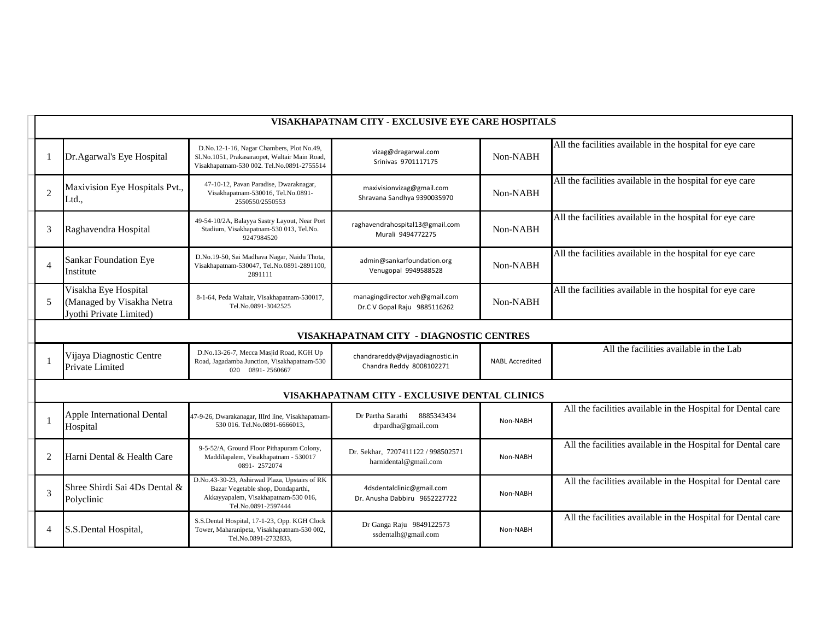|                | VISAKHAPATNAM CITY - EXCLUSIVE EYE CARE HOSPITALS                            |                                                                                                                                                    |                                                                |                        |                                                              |  |  |
|----------------|------------------------------------------------------------------------------|----------------------------------------------------------------------------------------------------------------------------------------------------|----------------------------------------------------------------|------------------------|--------------------------------------------------------------|--|--|
|                | Dr.Agarwal's Eye Hospital                                                    | D.No.12-1-16, Nagar Chambers, Plot No.49,<br>Sl.No.1051, Prakasaraopet, Waltair Main Road,<br>Visakhapatnam-530 002. Tel.No.0891-2755514           | vizag@dragarwal.com<br>Srinivas 9701117175                     | Non-NABH               | All the facilities available in the hospital for eye care    |  |  |
| $\overline{2}$ | Maxivision Eye Hospitals Pvt.,<br>Ltd.,                                      | 47-10-12, Pavan Paradise, Dwaraknagar,<br>Visakhapatnam-530016, Tel.No.0891-<br>2550550/2550553                                                    | maxivisionvizag@gmail.com<br>Shravana Sandhya 9390035970       | Non-NABH               | All the facilities available in the hospital for eye care    |  |  |
| 3              | Raghavendra Hospital                                                         | 49-54-10/2A, Balayya Sastry Layout, Near Port<br>Stadium, Visakhapatnam-530 013, Tel.No.<br>9247984520                                             | raghavendrahospital13@gmail.com<br>Murali 9494772275           | Non-NABH               | All the facilities available in the hospital for eye care    |  |  |
| $\overline{4}$ | <b>Sankar Foundation Eye</b><br>Institute                                    | D.No.19-50, Sai Madhava Nagar, Naidu Thota,<br>Visakhapatnam-530047, Tel.No.0891-2891100,<br>2891111                                               | admin@sankarfoundation.org<br>Venugopal 9949588528             | Non-NABH               | All the facilities available in the hospital for eye care    |  |  |
| 5              | Visakha Eye Hospital<br>(Managed by Visakha Netra<br>Jyothi Private Limited) | 8-1-64, Peda Waltair, Visakhapatnam-530017,<br>Tel.No.0891-3042525                                                                                 | managingdirector.veh@gmail.com<br>Dr.C V Gopal Raju 9885116262 | Non-NABH               | All the facilities available in the hospital for eye care    |  |  |
|                | VISAKHAPATNAM CITY - DIAGNOSTIC CENTRES                                      |                                                                                                                                                    |                                                                |                        |                                                              |  |  |
|                | Vijaya Diagnostic Centre<br>Private Limited                                  | D.No.13-26-7, Mecca Masjid Road, KGH Up<br>Road, Jagadamba Junction, Visakhapatnam-530<br>020 0891-2560667                                         | chandrareddy@vijayadiagnostic.in<br>Chandra Reddy 8008102271   | <b>NABL Accredited</b> | All the facilities available in the Lab                      |  |  |
|                |                                                                              |                                                                                                                                                    | VISAKHAPATNAM CITY - EXCLUSIVE DENTAL CLINICS                  |                        |                                                              |  |  |
|                | Apple International Dental<br>Hospital                                       | 47-9-26, Dwarakanagar, IIIrd line, Visakhapatnam-<br>530 016. Tel.No.0891-6666013,                                                                 | Dr Partha Sarathi<br>8885343434<br>drpardha@gmail.com          | Non-NABH               | All the facilities available in the Hospital for Dental care |  |  |
| 2              | Harni Dental & Health Care                                                   | 9-5-52/A, Ground Floor Pithapuram Colony,<br>Maddilapalem, Visakhapatnam - 530017<br>0891-2572074                                                  | Dr. Sekhar, 7207411122 / 998502571<br>harnidental@gmail.com    | Non-NABH               | All the facilities available in the Hospital for Dental care |  |  |
| 3              | Shree Shirdi Sai 4Ds Dental &<br>Polyclinic                                  | D.No.43-30-23, Ashirwad Plaza, Upstairs of RK<br>Bazar Vegetable shop, Dondaparthi,<br>Akkayyapalem, Visakhapatnam-530 016,<br>Tel.No.0891-2597444 | 4dsdentalclinic@gmail.com<br>Dr. Anusha Dabbiru 9652227722     | Non-NABH               | All the facilities available in the Hospital for Dental care |  |  |
| 4              | S.S.Dental Hospital,                                                         | S.S.Dental Hospital, 17-1-23, Opp. KGH Clock<br>Tower, Maharanipeta, Visakhapatnam-530 002,<br>Tel.No.0891-2732833,                                | Dr Ganga Raju 9849122573<br>ssdentalh@gmail.com                | Non-NABH               | All the facilities available in the Hospital for Dental care |  |  |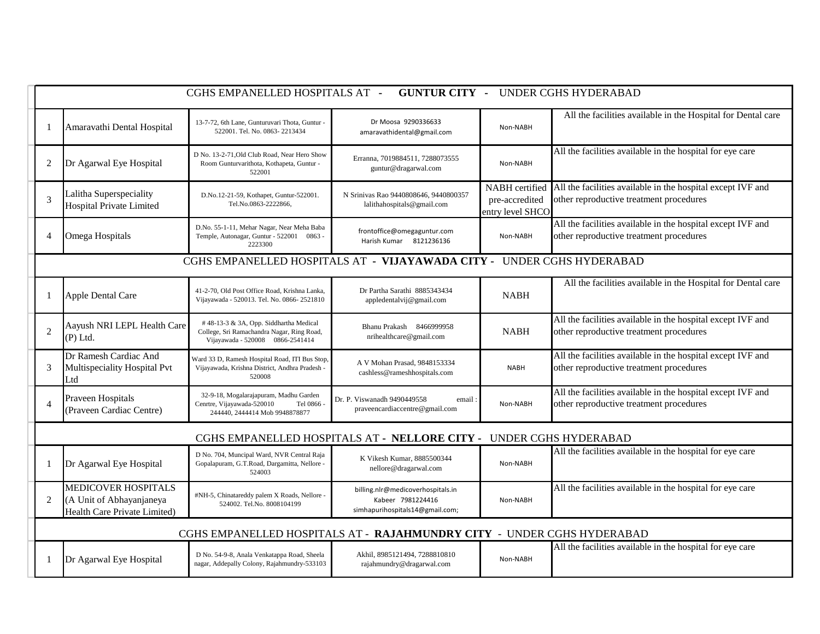| CGHS EMPANELLED HOSPITALS AT -<br><b>GUNTUR CITY - UNDER CGHS HYDERABAD</b> |                                                                                               |                                                                                                                           |                                                                                           |                                                      |                                                                                                        |  |
|-----------------------------------------------------------------------------|-----------------------------------------------------------------------------------------------|---------------------------------------------------------------------------------------------------------------------------|-------------------------------------------------------------------------------------------|------------------------------------------------------|--------------------------------------------------------------------------------------------------------|--|
|                                                                             | Amaravathi Dental Hospital                                                                    | 13-7-72, 6th Lane, Gunturuvari Thota, Guntur -<br>522001. Tel. No. 0863-2213434                                           | Dr Moosa 9290336633<br>amaravathidental@gmail.com                                         | Non-NABH                                             | All the facilities available in the Hospital for Dental care                                           |  |
| 2                                                                           | Dr Agarwal Eye Hospital                                                                       | D No. 13-2-71, Old Club Road, Near Hero Show<br>Room Gunturvarithota, Kothapeta, Guntur -<br>522001                       | Erranna, 7019884511, 7288073555<br>guntur@dragarwal.com                                   | Non-NABH                                             | All the facilities available in the hospital for eye care                                              |  |
|                                                                             | Lalitha Superspeciality<br><b>Hospital Private Limited</b>                                    | D.No.12-21-59, Kothapet, Guntur-522001.<br>Tel.No.0863-2222866,                                                           | N Srinivas Rao 9440808646, 9440800357<br>lalithahospitals@gmail.com                       | NABH certified<br>pre-accredited<br>entry level SHCO | All the facilities available in the hospital except IVF and<br>other reproductive treatment procedures |  |
| $\overline{4}$                                                              | Omega Hospitals                                                                               | D.No. 55-1-11, Mehar Nagar, Near Meha Baba<br>Temple, Autonagar, Guntur - 522001 0863 -<br>2223300                        | frontoffice@omegaguntur.com<br>Harish Kumar 8121236136                                    | Non-NABH                                             | All the facilities available in the hospital except IVF and<br>other reproductive treatment procedures |  |
|                                                                             |                                                                                               |                                                                                                                           | CGHS EMPANELLED HOSPITALS AT - VIJAYAWADA CITY - UNDER CGHS HYDERABAD                     |                                                      |                                                                                                        |  |
|                                                                             | Apple Dental Care                                                                             | 41-2-70, Old Post Office Road, Krishna Lanka,<br>Vijayawada - 520013. Tel. No. 0866-2521810                               | Dr Partha Sarathi 8885343434<br>appledentalvij@gmail.com                                  | <b>NABH</b>                                          | All the facilities available in the Hospital for Dental care                                           |  |
| $\overline{2}$                                                              | Aayush NRI LEPL Health Care<br>$(P)$ Ltd.                                                     | # 48-13-3 & 3A, Opp. Siddhartha Medical<br>College, Sri Ramachandra Nagar, Ring Road,<br>Vijayawada - 520008 0866-2541414 | Bhanu Prakash 8466999958<br>nrihealthcare@gmail.com                                       | NABH                                                 | All the facilities available in the hospital except IVF and<br>other reproductive treatment procedures |  |
| 3                                                                           | Dr Ramesh Cardiac And<br>Multispeciality Hospital Pvt<br>Ltd                                  | Ward 33 D, Ramesh Hospital Road, ITI Bus Stop,<br>Vijayawada, Krishna District, Andhra Pradesh -<br>520008                | A V Mohan Prasad, 9848153334<br>cashless@rameshhospitals.com                              | <b>NABH</b>                                          | All the facilities available in the hospital except IVF and<br>other reproductive treatment procedures |  |
|                                                                             | Praveen Hospitals<br>(Praveen Cardiac Centre)                                                 | 32-9-18, Mogalarajapuram, Madhu Garden<br>Cenrtre, Vijayawada-520010<br>Tel 0866 -<br>244440, 2444414 Mob 9948878877      | Dr. P. Viswanadh 9490449558<br>email:<br>praveencardiaccentre@gmail.com                   | Non-NABH                                             | All the facilities available in the hospital except IVF and<br>other reproductive treatment procedures |  |
|                                                                             |                                                                                               |                                                                                                                           | CGHS EMPANELLED HOSPITALS AT - NELLORE CITY - UNDER CGHS HYDERABAD                        |                                                      |                                                                                                        |  |
|                                                                             | Dr Agarwal Eye Hospital                                                                       | D No. 704, Muncipal Ward, NVR Central Raja<br>Gopalapuram, G.T.Road, Dargamitta, Nellore -<br>524003                      | K Vikesh Kumar, 8885500344<br>nellore@dragarwal.com                                       | Non-NABH                                             | All the facilities available in the hospital for eye care                                              |  |
| 2                                                                           | <b>MEDICOVER HOSPITALS</b><br>(A Unit of Abhayanjaneya<br><b>Health Care Private Limited)</b> | #NH-5, Chinatareddy palem X Roads, Nellore -<br>524002. Tel.No. 8008104199                                                | billing.nlr@medicoverhospitals.in<br>Kabeer 7981224416<br>simhapurihospitals14@gmail.com; | Non-NABH                                             | All the facilities available in the hospital for eye care                                              |  |
|                                                                             |                                                                                               |                                                                                                                           | CGHS EMPANELLED HOSPITALS AT - RAJAHMUNDRY CITY - UNDER CGHS HYDERABAD                    |                                                      |                                                                                                        |  |
|                                                                             | Dr Agarwal Eye Hospital                                                                       | D No. 54-9-8, Anala Venkatappa Road, Sheela<br>nagar, Addepally Colony, Rajahmundry-533103                                | Akhil, 8985121494, 7288810810<br>rajahmundry@dragarwal.com                                | Non-NABH                                             | All the facilities available in the hospital for eye care                                              |  |